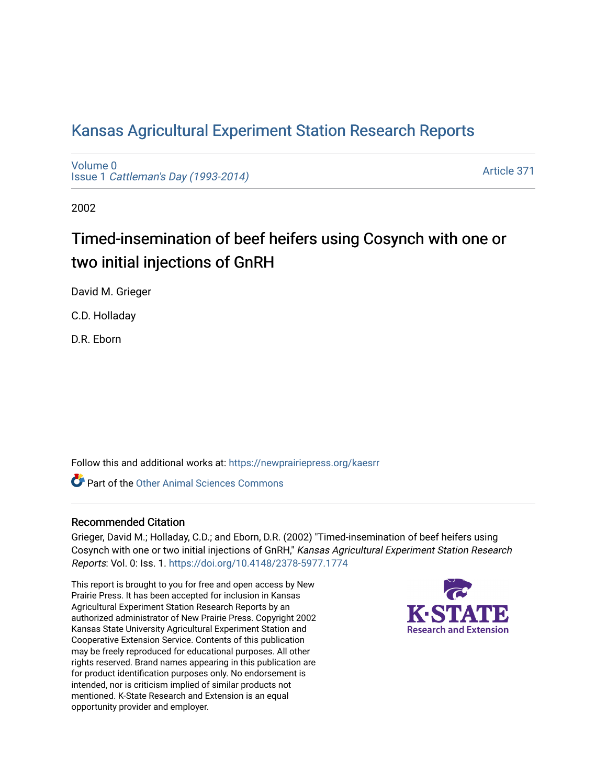# [Kansas Agricultural Experiment Station Research Reports](https://newprairiepress.org/kaesrr)

[Volume 0](https://newprairiepress.org/kaesrr/vol0) Issue 1 [Cattleman's Day \(1993-2014\)](https://newprairiepress.org/kaesrr/vol0/iss1) 

[Article 371](https://newprairiepress.org/kaesrr/vol0/iss1/371) 

2002

# Timed-insemination of beef heifers using Cosynch with one or two initial injections of GnRH

David M. Grieger

C.D. Holladay

D.R. Eborn

Follow this and additional works at: [https://newprairiepress.org/kaesrr](https://newprairiepress.org/kaesrr?utm_source=newprairiepress.org%2Fkaesrr%2Fvol0%2Fiss1%2F371&utm_medium=PDF&utm_campaign=PDFCoverPages) 

**C** Part of the [Other Animal Sciences Commons](http://network.bepress.com/hgg/discipline/82?utm_source=newprairiepress.org%2Fkaesrr%2Fvol0%2Fiss1%2F371&utm_medium=PDF&utm_campaign=PDFCoverPages)

#### Recommended Citation

Grieger, David M.; Holladay, C.D.; and Eborn, D.R. (2002) "Timed-insemination of beef heifers using Cosynch with one or two initial injections of GnRH," Kansas Agricultural Experiment Station Research Reports: Vol. 0: Iss. 1.<https://doi.org/10.4148/2378-5977.1774>

This report is brought to you for free and open access by New Prairie Press. It has been accepted for inclusion in Kansas Agricultural Experiment Station Research Reports by an authorized administrator of New Prairie Press. Copyright 2002 Kansas State University Agricultural Experiment Station and Cooperative Extension Service. Contents of this publication may be freely reproduced for educational purposes. All other rights reserved. Brand names appearing in this publication are for product identification purposes only. No endorsement is intended, nor is criticism implied of similar products not mentioned. K-State Research and Extension is an equal opportunity provider and employer.

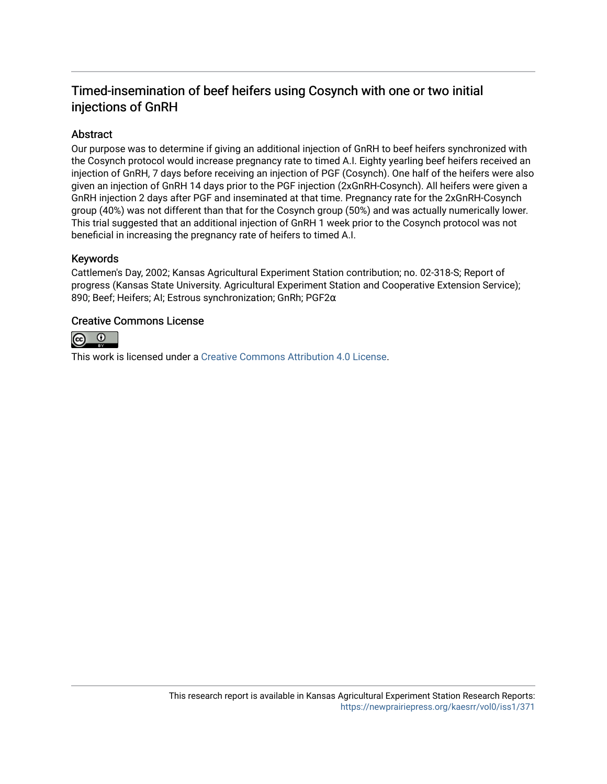# Timed-insemination of beef heifers using Cosynch with one or two initial injections of GnRH

## Abstract

Our purpose was to determine if giving an additional injection of GnRH to beef heifers synchronized with the Cosynch protocol would increase pregnancy rate to timed A.I. Eighty yearling beef heifers received an injection of GnRH, 7 days before receiving an injection of PGF (Cosynch). One half of the heifers were also given an injection of GnRH 14 days prior to the PGF injection (2xGnRH-Cosynch). All heifers were given a GnRH injection 2 days after PGF and inseminated at that time. Pregnancy rate for the 2xGnRH-Cosynch group (40%) was not different than that for the Cosynch group (50%) and was actually numerically lower. This trial suggested that an additional injection of GnRH 1 week prior to the Cosynch protocol was not beneficial in increasing the pregnancy rate of heifers to timed A.I.

#### Keywords

Cattlemen's Day, 2002; Kansas Agricultural Experiment Station contribution; no. 02-318-S; Report of progress (Kansas State University. Agricultural Experiment Station and Cooperative Extension Service); 890; Beef; Heifers; AI; Estrous synchronization; GnRh; PGF2α

#### Creative Commons License



This work is licensed under a [Creative Commons Attribution 4.0 License](https://creativecommons.org/licenses/by/4.0/).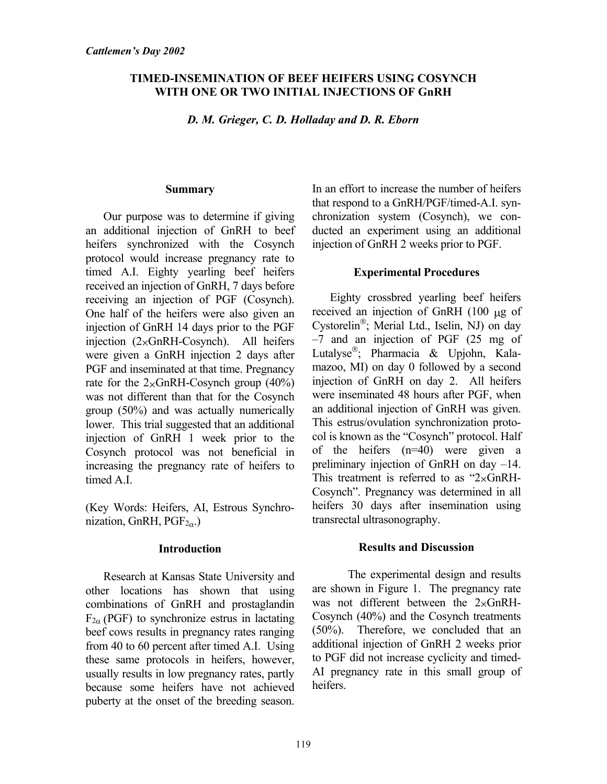## **TIMED-INSEMINATION OF BEEF HEIFERS USING COSYNCH WITH ONE OR TWO INITIAL INJECTIONS OF GnRH**

*D. M. Grieger, C. D. Holladay and D. R. Eborn* 

#### **Summary**

Our purpose was to determine if giving an additional injection of GnRH to beef heifers synchronized with the Cosynch protocol would increase pregnancy rate to timed A.I. Eighty yearling beef heifers received an injection of GnRH, 7 days before receiving an injection of PGF (Cosynch). One half of the heifers were also given an injection of GnRH 14 days prior to the PGF injection  $(2\times \text{GnRH-Cosynch})$ . All heifers were given a GnRH injection 2 days after PGF and inseminated at that time. Pregnancy rate for the  $2 \times$ GnRH-Cosynch group (40%) was not different than that for the Cosynch group (50%) and was actually numerically lower. This trial suggested that an additional injection of GnRH 1 week prior to the Cosynch protocol was not beneficial in increasing the pregnancy rate of heifers to timed A.I.

(Key Words: Heifers, AI, Estrous Synchronization, GnRH,  $PGF_{2\alpha}$ .)

# **Introduction**

Research at Kansas State University and other locations has shown that using combinations of GnRH and prostaglandin  $F_{2\alpha}$  (PGF) to synchronize estrus in lactating beef cows results in pregnancy rates ranging from 40 to 60 percent after timed A.I. Using these same protocols in heifers, however, usually results in low pregnancy rates, partly because some heifers have not achieved puberty at the onset of the breeding season.

In an effort to increase the number of heifers that respond to a GnRH/PGF/timed-A.I. synchronization system (Cosynch), we conducted an experiment using an additional injection of GnRH 2 weeks prior to PGF.

# **Experimental Procedures**

Eighty crossbred yearling beef heifers received an injection of GnRH (100 µg of Cystorelin<sup>®</sup>; Merial Ltd., Iselin, NJ) on day –7 and an injection of PGF (25 mg of Lutalyse; Pharmacia & Upjohn, Kalamazoo, MI) on day 0 followed by a second injection of GnRH on day 2. All heifers were inseminated 48 hours after PGF, when an additional injection of GnRH was given. This estrus/ovulation synchronization protocol is known as the "Cosynch" protocol. Half of the heifers (n=40) were given a preliminary injection of GnRH on day –14. This treatment is referred to as " $2 \times Gn$ RH-Cosynch". Pregnancy was determined in all heifers 30 days after insemination using transrectal ultrasonography.

# **Results and Discussion**

 The experimental design and results are shown in Figure 1. The pregnancy rate was not different between the  $2 \times Gn$ RH-Cosynch (40%) and the Cosynch treatments (50%). Therefore, we concluded that an additional injection of GnRH 2 weeks prior to PGF did not increase cyclicity and timed-AI pregnancy rate in this small group of heifers.